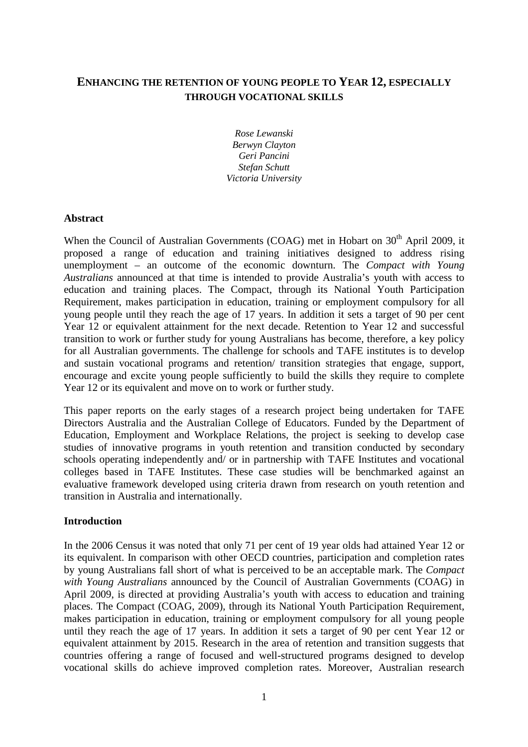# **ENHANCING THE RETENTION OF YOUNG PEOPLE TO YEAR 12, ESPECIALLY THROUGH VOCATIONAL SKILLS**

*Rose Lewanski Berwyn Clayton Geri Pancini Stefan Schutt Victoria University* 

#### **Abstract**

When the Council of Australian Governments (COAG) met in Hobart on 30<sup>th</sup> April 2009, it proposed a range of education and training initiatives designed to address rising unemployment – an outcome of the economic downturn. The *Compact with Young Australians* announced at that time is intended to provide Australia's youth with access to education and training places. The Compact, through its National Youth Participation Requirement, makes participation in education, training or employment compulsory for all young people until they reach the age of 17 years. In addition it sets a target of 90 per cent Year 12 or equivalent attainment for the next decade. Retention to Year 12 and successful transition to work or further study for young Australians has become, therefore, a key policy for all Australian governments. The challenge for schools and TAFE institutes is to develop and sustain vocational programs and retention/ transition strategies that engage, support, encourage and excite young people sufficiently to build the skills they require to complete Year 12 or its equivalent and move on to work or further study.

This paper reports on the early stages of a research project being undertaken for TAFE Directors Australia and the Australian College of Educators. Funded by the Department of Education, Employment and Workplace Relations, the project is seeking to develop case studies of innovative programs in youth retention and transition conducted by secondary schools operating independently and/ or in partnership with TAFE Institutes and vocational colleges based in TAFE Institutes. These case studies will be benchmarked against an evaluative framework developed using criteria drawn from research on youth retention and transition in Australia and internationally.

### **Introduction**

In the 2006 Census it was noted that only 71 per cent of 19 year olds had attained Year 12 or its equivalent. In comparison with other OECD countries, participation and completion rates by young Australians fall short of what is perceived to be an acceptable mark. The *Compact with Young Australians* announced by the Council of Australian Governments (COAG) in April 2009, is directed at providing Australia's youth with access to education and training places. The Compact (COAG, 2009), through its National Youth Participation Requirement, makes participation in education, training or employment compulsory for all young people until they reach the age of 17 years. In addition it sets a target of 90 per cent Year 12 or equivalent attainment by 2015. Research in the area of retention and transition suggests that countries offering a range of focused and well-structured programs designed to develop vocational skills do achieve improved completion rates. Moreover, Australian research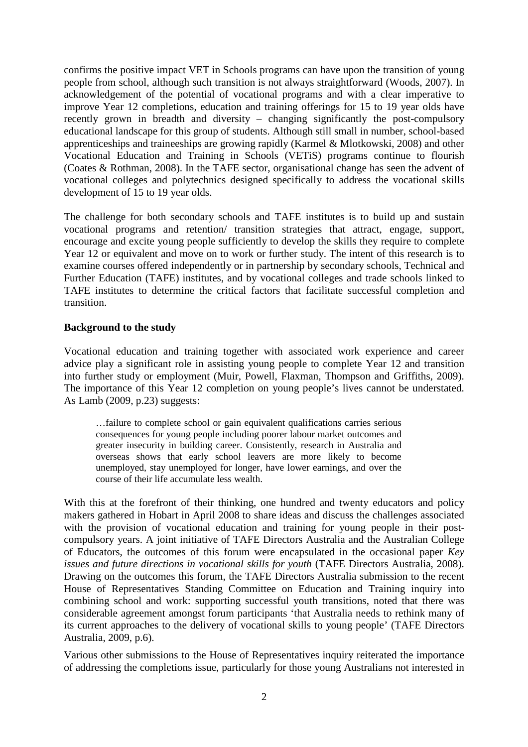confirms the positive impact VET in Schools programs can have upon the transition of young people from school, although such transition is not always straightforward (Woods, 2007). In acknowledgement of the potential of vocational programs and with a clear imperative to improve Year 12 completions, education and training offerings for 15 to 19 year olds have recently grown in breadth and diversity – changing significantly the post-compulsory educational landscape for this group of students. Although still small in number, school-based apprenticeships and traineeships are growing rapidly (Karmel & Mlotkowski, 2008) and other Vocational Education and Training in Schools (VETiS) programs continue to flourish (Coates & Rothman, 2008). In the TAFE sector, organisational change has seen the advent of vocational colleges and polytechnics designed specifically to address the vocational skills development of 15 to 19 year olds.

The challenge for both secondary schools and TAFE institutes is to build up and sustain vocational programs and retention/ transition strategies that attract, engage, support, encourage and excite young people sufficiently to develop the skills they require to complete Year 12 or equivalent and move on to work or further study. The intent of this research is to examine courses offered independently or in partnership by secondary schools, Technical and Further Education (TAFE) institutes, and by vocational colleges and trade schools linked to TAFE institutes to determine the critical factors that facilitate successful completion and transition.

## **Background to the study**

Vocational education and training together with associated work experience and career advice play a significant role in assisting young people to complete Year 12 and transition into further study or employment (Muir, Powell, Flaxman, Thompson and Griffiths, 2009). The importance of this Year 12 completion on young people's lives cannot be understated. As Lamb (2009, p.23) suggests:

…failure to complete school or gain equivalent qualifications carries serious consequences for young people including poorer labour market outcomes and greater insecurity in building career. Consistently, research in Australia and overseas shows that early school leavers are more likely to become unemployed, stay unemployed for longer, have lower earnings, and over the course of their life accumulate less wealth.

With this at the forefront of their thinking, one hundred and twenty educators and policy makers gathered in Hobart in April 2008 to share ideas and discuss the challenges associated with the provision of vocational education and training for young people in their postcompulsory years. A joint initiative of TAFE Directors Australia and the Australian College of Educators, the outcomes of this forum were encapsulated in the occasional paper *Key issues and future directions in vocational skills for youth* (TAFE Directors Australia, 2008). Drawing on the outcomes this forum, the TAFE Directors Australia submission to the recent House of Representatives Standing Committee on Education and Training inquiry into combining school and work: supporting successful youth transitions, noted that there was considerable agreement amongst forum participants 'that Australia needs to rethink many of its current approaches to the delivery of vocational skills to young people' (TAFE Directors Australia, 2009, p.6).

Various other submissions to the House of Representatives inquiry reiterated the importance of addressing the completions issue, particularly for those young Australians not interested in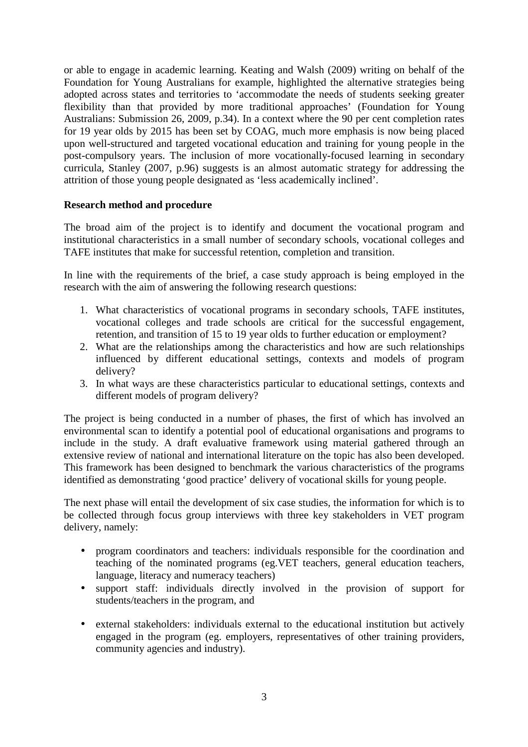or able to engage in academic learning. Keating and Walsh (2009) writing on behalf of the Foundation for Young Australians for example, highlighted the alternative strategies being adopted across states and territories to 'accommodate the needs of students seeking greater flexibility than that provided by more traditional approaches' (Foundation for Young Australians: Submission 26, 2009, p.34). In a context where the 90 per cent completion rates for 19 year olds by 2015 has been set by COAG, much more emphasis is now being placed upon well-structured and targeted vocational education and training for young people in the post-compulsory years. The inclusion of more vocationally-focused learning in secondary curricula, Stanley (2007, p.96) suggests is an almost automatic strategy for addressing the attrition of those young people designated as 'less academically inclined'.

## **Research method and procedure**

The broad aim of the project is to identify and document the vocational program and institutional characteristics in a small number of secondary schools, vocational colleges and TAFE institutes that make for successful retention, completion and transition.

In line with the requirements of the brief, a case study approach is being employed in the research with the aim of answering the following research questions:

- 1. What characteristics of vocational programs in secondary schools, TAFE institutes, vocational colleges and trade schools are critical for the successful engagement, retention, and transition of 15 to 19 year olds to further education or employment?
- 2. What are the relationships among the characteristics and how are such relationships influenced by different educational settings, contexts and models of program delivery?
- 3. In what ways are these characteristics particular to educational settings, contexts and different models of program delivery?

The project is being conducted in a number of phases, the first of which has involved an environmental scan to identify a potential pool of educational organisations and programs to include in the study. A draft evaluative framework using material gathered through an extensive review of national and international literature on the topic has also been developed. This framework has been designed to benchmark the various characteristics of the programs identified as demonstrating 'good practice' delivery of vocational skills for young people.

The next phase will entail the development of six case studies, the information for which is to be collected through focus group interviews with three key stakeholders in VET program delivery, namely:

- program coordinators and teachers: individuals responsible for the coordination and teaching of the nominated programs (eg.VET teachers, general education teachers, language, literacy and numeracy teachers)
- support staff: individuals directly involved in the provision of support for students/teachers in the program, and
- external stakeholders: individuals external to the educational institution but actively engaged in the program (eg. employers, representatives of other training providers, community agencies and industry).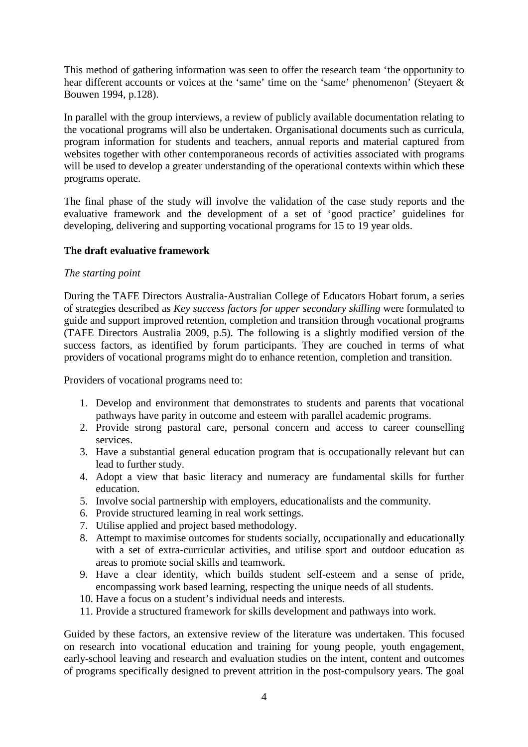This method of gathering information was seen to offer the research team 'the opportunity to hear different accounts or voices at the 'same' time on the 'same' phenomenon' (Steyaert & Bouwen 1994, p.128).

In parallel with the group interviews, a review of publicly available documentation relating to the vocational programs will also be undertaken. Organisational documents such as curricula, program information for students and teachers, annual reports and material captured from websites together with other contemporaneous records of activities associated with programs will be used to develop a greater understanding of the operational contexts within which these programs operate.

The final phase of the study will involve the validation of the case study reports and the evaluative framework and the development of a set of 'good practice' guidelines for developing, delivering and supporting vocational programs for 15 to 19 year olds.

## **The draft evaluative framework**

### *The starting point*

During the TAFE Directors Australia-Australian College of Educators Hobart forum, a series of strategies described as *Key success factors for upper secondary skilling* were formulated to guide and support improved retention, completion and transition through vocational programs (TAFE Directors Australia 2009, p.5). The following is a slightly modified version of the success factors, as identified by forum participants. They are couched in terms of what providers of vocational programs might do to enhance retention, completion and transition.

Providers of vocational programs need to:

- 1. Develop and environment that demonstrates to students and parents that vocational pathways have parity in outcome and esteem with parallel academic programs.
- 2. Provide strong pastoral care, personal concern and access to career counselling services.
- 3. Have a substantial general education program that is occupationally relevant but can lead to further study.
- 4. Adopt a view that basic literacy and numeracy are fundamental skills for further education.
- 5. Involve social partnership with employers, educationalists and the community.
- 6. Provide structured learning in real work settings.
- 7. Utilise applied and project based methodology.
- 8. Attempt to maximise outcomes for students socially, occupationally and educationally with a set of extra-curricular activities, and utilise sport and outdoor education as areas to promote social skills and teamwork.
- 9. Have a clear identity, which builds student self-esteem and a sense of pride, encompassing work based learning, respecting the unique needs of all students.
- 10. Have a focus on a student's individual needs and interests.
- 11. Provide a structured framework for skills development and pathways into work.

Guided by these factors, an extensive review of the literature was undertaken. This focused on research into vocational education and training for young people, youth engagement, early-school leaving and research and evaluation studies on the intent, content and outcomes of programs specifically designed to prevent attrition in the post-compulsory years. The goal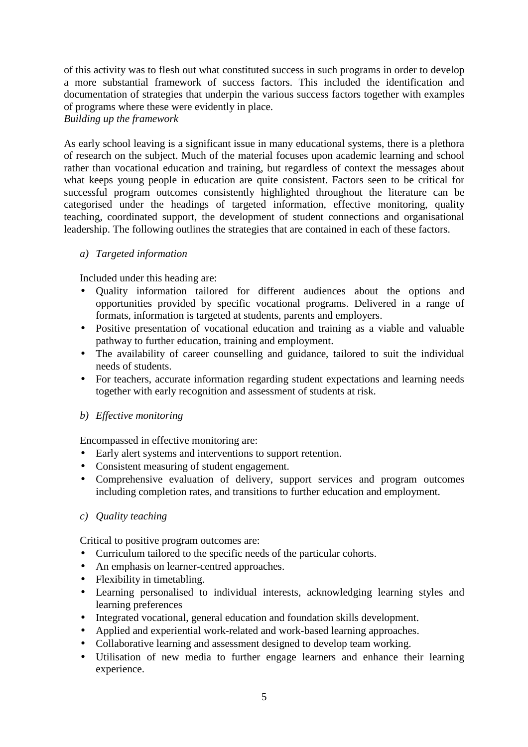of this activity was to flesh out what constituted success in such programs in order to develop a more substantial framework of success factors. This included the identification and documentation of strategies that underpin the various success factors together with examples of programs where these were evidently in place.

#### *Building up the framework*

As early school leaving is a significant issue in many educational systems, there is a plethora of research on the subject. Much of the material focuses upon academic learning and school rather than vocational education and training, but regardless of context the messages about what keeps young people in education are quite consistent. Factors seen to be critical for successful program outcomes consistently highlighted throughout the literature can be categorised under the headings of targeted information, effective monitoring, quality teaching, coordinated support, the development of student connections and organisational leadership. The following outlines the strategies that are contained in each of these factors.

### *a) Targeted information*

Included under this heading are:

- Quality information tailored for different audiences about the options and opportunities provided by specific vocational programs. Delivered in a range of formats, information is targeted at students, parents and employers.
- Positive presentation of vocational education and training as a viable and valuable pathway to further education, training and employment.
- The availability of career counselling and guidance, tailored to suit the individual needs of students.
- For teachers, accurate information regarding student expectations and learning needs together with early recognition and assessment of students at risk.

# *b) Effective monitoring*

Encompassed in effective monitoring are:

- Early alert systems and interventions to support retention.
- Consistent measuring of student engagement.
- Comprehensive evaluation of delivery, support services and program outcomes including completion rates, and transitions to further education and employment.

### *c) Quality teaching*

Critical to positive program outcomes are:

- Curriculum tailored to the specific needs of the particular cohorts.
- An emphasis on learner-centred approaches.
- Flexibility in timetabling.
- Learning personalised to individual interests, acknowledging learning styles and learning preferences
- Integrated vocational, general education and foundation skills development.
- Applied and experiential work-related and work-based learning approaches.
- Collaborative learning and assessment designed to develop team working.
- Utilisation of new media to further engage learners and enhance their learning experience.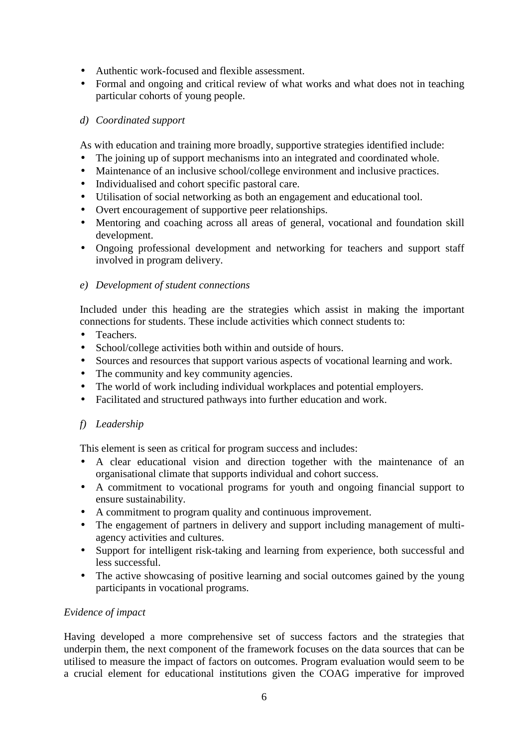- Authentic work-focused and flexible assessment.
- Formal and ongoing and critical review of what works and what does not in teaching particular cohorts of young people.

# *d) Coordinated support*

As with education and training more broadly, supportive strategies identified include:

- The joining up of support mechanisms into an integrated and coordinated whole.
- Maintenance of an inclusive school/college environment and inclusive practices.
- Individualised and cohort specific pastoral care.
- Utilisation of social networking as both an engagement and educational tool.
- Overt encouragement of supportive peer relationships.
- Mentoring and coaching across all areas of general, vocational and foundation skill development.
- Ongoing professional development and networking for teachers and support staff involved in program delivery.

# *e) Development of student connections*

Included under this heading are the strategies which assist in making the important connections for students. These include activities which connect students to:

- Teachers.
- School/college activities both within and outside of hours.
- Sources and resources that support various aspects of vocational learning and work.
- The community and key community agencies.
- The world of work including individual workplaces and potential employers.
- Facilitated and structured pathways into further education and work.

# *f) Leadership*

This element is seen as critical for program success and includes:

- A clear educational vision and direction together with the maintenance of an organisational climate that supports individual and cohort success.
- A commitment to vocational programs for youth and ongoing financial support to ensure sustainability.
- A commitment to program quality and continuous improvement.
- The engagement of partners in delivery and support including management of multiagency activities and cultures.
- Support for intelligent risk-taking and learning from experience, both successful and less successful.
- The active showcasing of positive learning and social outcomes gained by the young participants in vocational programs.

# *Evidence of impact*

Having developed a more comprehensive set of success factors and the strategies that underpin them, the next component of the framework focuses on the data sources that can be utilised to measure the impact of factors on outcomes. Program evaluation would seem to be a crucial element for educational institutions given the COAG imperative for improved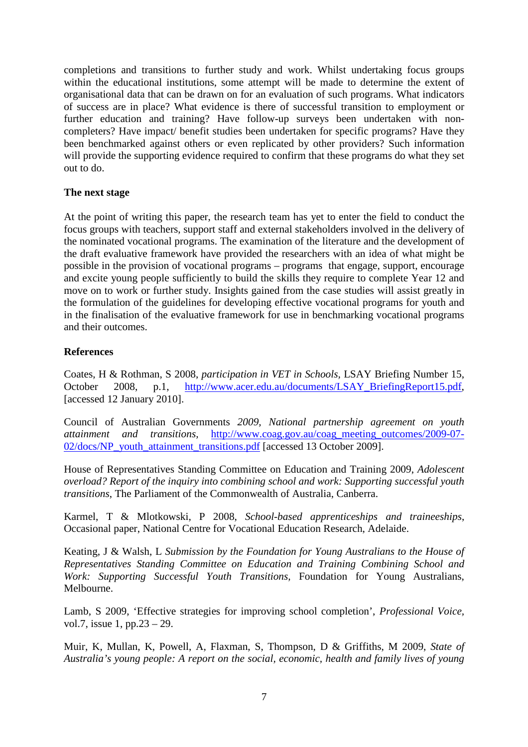completions and transitions to further study and work. Whilst undertaking focus groups within the educational institutions, some attempt will be made to determine the extent of organisational data that can be drawn on for an evaluation of such programs. What indicators of success are in place? What evidence is there of successful transition to employment or further education and training? Have follow-up surveys been undertaken with noncompleters? Have impact/ benefit studies been undertaken for specific programs? Have they been benchmarked against others or even replicated by other providers? Such information will provide the supporting evidence required to confirm that these programs do what they set out to do.

## **The next stage**

At the point of writing this paper, the research team has yet to enter the field to conduct the focus groups with teachers, support staff and external stakeholders involved in the delivery of the nominated vocational programs. The examination of the literature and the development of the draft evaluative framework have provided the researchers with an idea of what might be possible in the provision of vocational programs – programs that engage, support, encourage and excite young people sufficiently to build the skills they require to complete Year 12 and move on to work or further study. Insights gained from the case studies will assist greatly in the formulation of the guidelines for developing effective vocational programs for youth and in the finalisation of the evaluative framework for use in benchmarking vocational programs and their outcomes.

## **References**

Coates, H & Rothman, S 2008, *participation in VET in Schools,* LSAY Briefing Number 15, October 2008, p.1, http://www.acer.edu.au/documents/LSAY\_BriefingReport15.pdf, [accessed 12 January 2010].

Council of Australian Governments *2009, National partnership agreement on youth attainment and transitions,* http://www.coag.gov.au/coag\_meeting\_outcomes/2009-07- 02/docs/NP\_youth\_attainment\_transitions.pdf [accessed 13 October 2009].

House of Representatives Standing Committee on Education and Training 2009, *Adolescent overload? Report of the inquiry into combining school and work: Supporting successful youth transitions*, The Parliament of the Commonwealth of Australia, Canberra.

Karmel, T & Mlotkowski, P 2008, *School-based apprenticeships and traineeships*, Occasional paper, National Centre for Vocational Education Research, Adelaide.

Keating, J & Walsh, L *Submission by the Foundation for Young Australians to the House of Representatives Standing Committee on Education and Training Combining School and Work: Supporting Successful Youth Transitions,* Foundation for Young Australians, Melbourne.

Lamb, S 2009, 'Effective strategies for improving school completion', *Professional Voice,*  vol.7, issue 1, pp.23 – 29.

Muir, K, Mullan, K, Powell, A, Flaxman, S, Thompson, D & Griffiths, M 2009, *State of Australia's young people: A report on the social, economic, health and family lives of young*